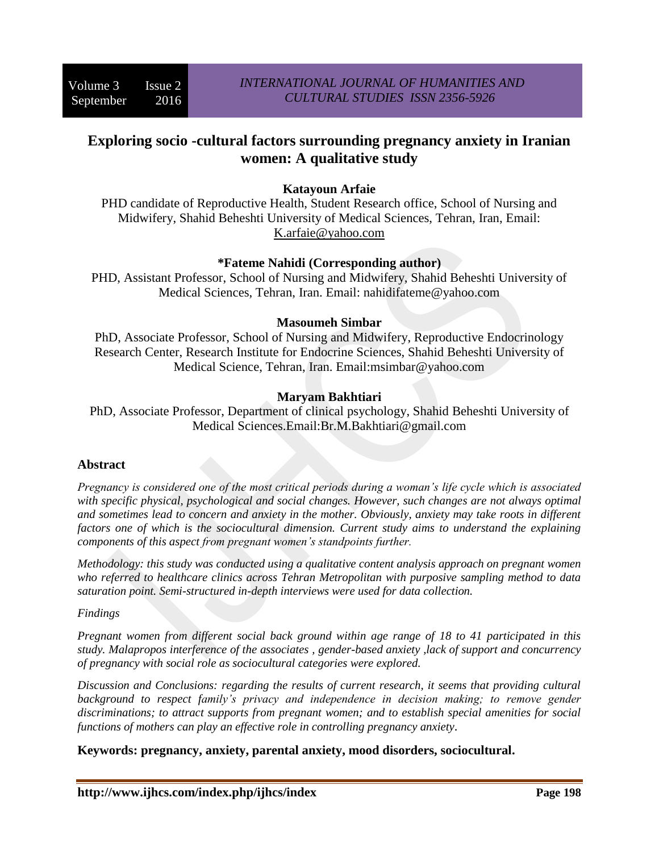# **Exploring socio -cultural factors surrounding pregnancy anxiety in Iranian women: A qualitative study**

## **Katayoun Arfaie**

PHD candidate of Reproductive Health, Student Research office, School of Nursing and Midwifery, Shahid Beheshti University of Medical Sciences, Tehran, Iran, Email: [K.arfaie@yahoo.com](mailto:K.arfaie@yahoo.com)

## **\*Fateme Nahidi (Corresponding author)**

PHD, Assistant Professor, School of Nursing and Midwifery, Shahid Beheshti University of Medical Sciences, Tehran, Iran. Email: nahidifateme@yahoo.com

## **Masoumeh Simbar**

PhD, Associate Professor, School of Nursing and Midwifery, Reproductive Endocrinology Research Center, Research Institute for Endocrine Sciences, Shahid Beheshti University of Medical Science, Tehran, Iran. Email:msimbar@yahoo.com

## **Maryam Bakhtiari**

PhD, Associate Professor, Department of clinical psychology, Shahid Beheshti University of Medical Sciences.Email:Br.M.Bakhtiari@gmail.com

## **Abstract**

*Pregnancy is considered one of the most critical periods during a woman's life cycle which is associated with specific physical, psychological and social changes. However, such changes are not always optimal and sometimes lead to concern and anxiety in the mother. Obviously, anxiety may take roots in different factors one of which is the sociocultural dimension. Current study aims to understand the explaining components of this aspect from pregnant women's standpoints further.* 

*Methodology: this study was conducted using a qualitative content analysis approach on pregnant women who referred to healthcare clinics across Tehran Metropolitan with purposive sampling method to data saturation point. Semi-structured in-depth interviews were used for data collection.*

#### *Findings*

*Pregnant women from different social back ground within age range of 18 to 41 participated in this study. Malapropos interference of the associates , gender-based anxiety ,lack of support and concurrency of pregnancy with social role as sociocultural categories were explored.*

*Discussion and Conclusions: regarding the results of current research, it seems that providing cultural*  background to respect family's privacy and independence in decision making; to remove gender *discriminations; to attract supports from pregnant women; and to establish special amenities for social functions of mothers can play an effective role in controlling pregnancy anxiety.*

**Keywords: pregnancy, anxiety, parental anxiety, mood disorders, sociocultural.**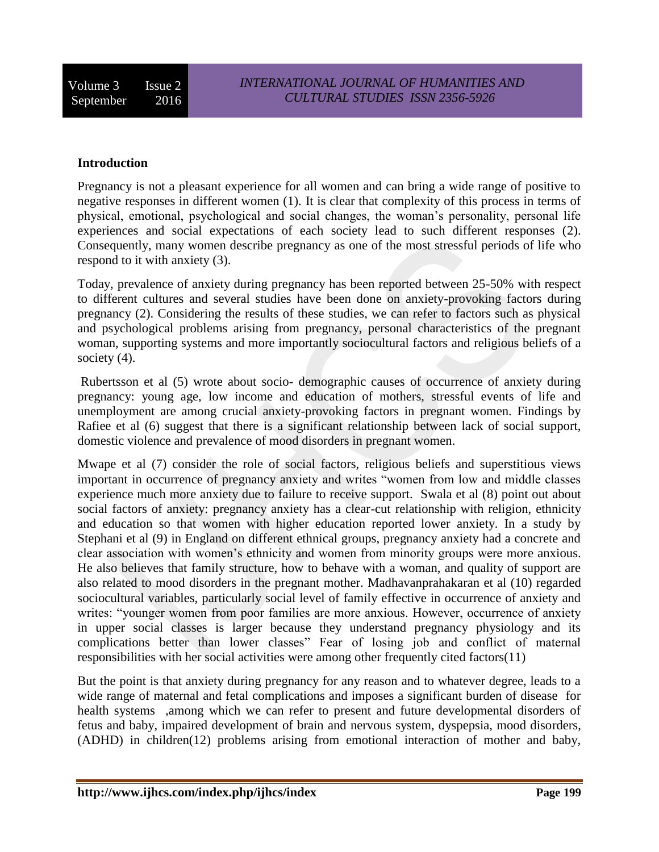## **Introduction**

Pregnancy is not a pleasant experience for all women and can bring a wide range of positive to negative responses in different women (1). It is clear that complexity of this process in terms of physical, emotional, psychological and social changes, the woman's personality, personal life experiences and social expectations of each society lead to such different responses (2). Consequently, many women describe pregnancy as one of the most stressful periods of life who respond to it with anxiety (3).

Today, prevalence of anxiety during pregnancy has been reported between 25-50% with respect to different cultures and several studies have been done on anxiety-provoking factors during pregnancy (2). Considering the results of these studies, we can refer to factors such as physical and psychological problems arising from pregnancy, personal characteristics of the pregnant woman, supporting systems and more importantly sociocultural factors and religious beliefs of a society (4).

Rubertsson et al (5) wrote about socio- demographic causes of occurrence of anxiety during pregnancy: young age, low income and education of mothers, stressful events of life and unemployment are among crucial anxiety-provoking factors in pregnant women. Findings by Rafiee et al (6) suggest that there is a significant relationship between lack of social support, domestic violence and prevalence of mood disorders in pregnant women.

Mwape et al (7) consider the role of social factors, religious beliefs and superstitious views important in occurrence of pregnancy anxiety and writes "women from low and middle classes experience much more anxiety due to failure to receive support. Swala et al (8) point out about social factors of anxiety: pregnancy anxiety has a clear-cut relationship with religion, ethnicity and education so that women with higher education reported lower anxiety. In a study by Stephani et al (9) in England on different ethnical groups, pregnancy anxiety had a concrete and clear association with women's ethnicity and women from minority groups were more anxious. He also believes that family structure, how to behave with a woman, and quality of support are also related to mood disorders in the pregnant mother. Madhavanprahakaran et al (10) regarded sociocultural variables, particularly social level of family effective in occurrence of anxiety and writes: "younger women from poor families are more anxious. However, occurrence of anxiety in upper social classes is larger because they understand pregnancy physiology and its complications better than lower classes" Fear of losing job and conflict of maternal responsibilities with her social activities were among other frequently cited factors(11)

But the point is that anxiety during pregnancy for any reason and to whatever degree, leads to a wide range of maternal and fetal complications and imposes a significant burden of disease for health systems ,among which we can refer to present and future developmental disorders of fetus and baby, impaired development of brain and nervous system, dyspepsia, mood disorders, (ADHD) in children(12) problems arising from emotional interaction of mother and baby,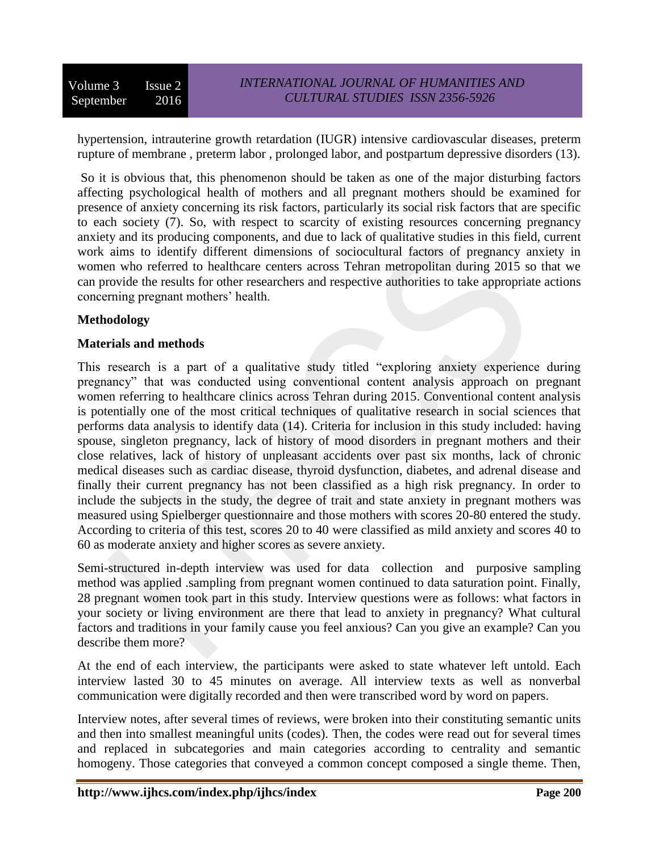hypertension, intrauterine growth retardation (IUGR) intensive cardiovascular diseases, preterm rupture of membrane , preterm labor , prolonged labor, and postpartum depressive disorders (13).

So it is obvious that, this phenomenon should be taken as one of the major disturbing factors affecting psychological health of mothers and all pregnant mothers should be examined for presence of anxiety concerning its risk factors, particularly its social risk factors that are specific to each society (7). So, with respect to scarcity of existing resources concerning pregnancy anxiety and its producing components, and due to lack of qualitative studies in this field, current work aims to identify different dimensions of sociocultural factors of pregnancy anxiety in women who referred to healthcare centers across Tehran metropolitan during 2015 so that we can provide the results for other researchers and respective authorities to take appropriate actions concerning pregnant mothers' health.

#### **Methodology**

#### **Materials and methods**

This research is a part of a qualitative study titled "exploring anxiety experience during pregnancy" that was conducted using conventional content analysis approach on pregnant women referring to healthcare clinics across Tehran during 2015. Conventional content analysis is potentially one of the most critical techniques of qualitative research in social sciences that performs data analysis to identify data (14). Criteria for inclusion in this study included: having spouse, singleton pregnancy, lack of history of mood disorders in pregnant mothers and their close relatives, lack of history of unpleasant accidents over past six months, lack of chronic medical diseases such as cardiac disease, thyroid dysfunction, diabetes, and adrenal disease and finally their current pregnancy has not been classified as a high risk pregnancy. In order to include the subjects in the study, the degree of trait and state anxiety in pregnant mothers was measured using Spielberger questionnaire and those mothers with scores 20-80 entered the study. According to criteria of this test, scores 20 to 40 were classified as mild anxiety and scores 40 to 60 as moderate anxiety and higher scores as severe anxiety.

Semi-structured in-depth interview was used for data collection and purposive sampling method was applied .sampling from pregnant women continued to data saturation point. Finally, 28 pregnant women took part in this study. Interview questions were as follows: what factors in your society or living environment are there that lead to anxiety in pregnancy? What cultural factors and traditions in your family cause you feel anxious? Can you give an example? Can you describe them more?

At the end of each interview, the participants were asked to state whatever left untold. Each interview lasted 30 to 45 minutes on average. All interview texts as well as nonverbal communication were digitally recorded and then were transcribed word by word on papers.

Interview notes, after several times of reviews, were broken into their constituting semantic units and then into smallest meaningful units (codes). Then, the codes were read out for several times and replaced in subcategories and main categories according to centrality and semantic homogeny. Those categories that conveyed a common concept composed a single theme. Then,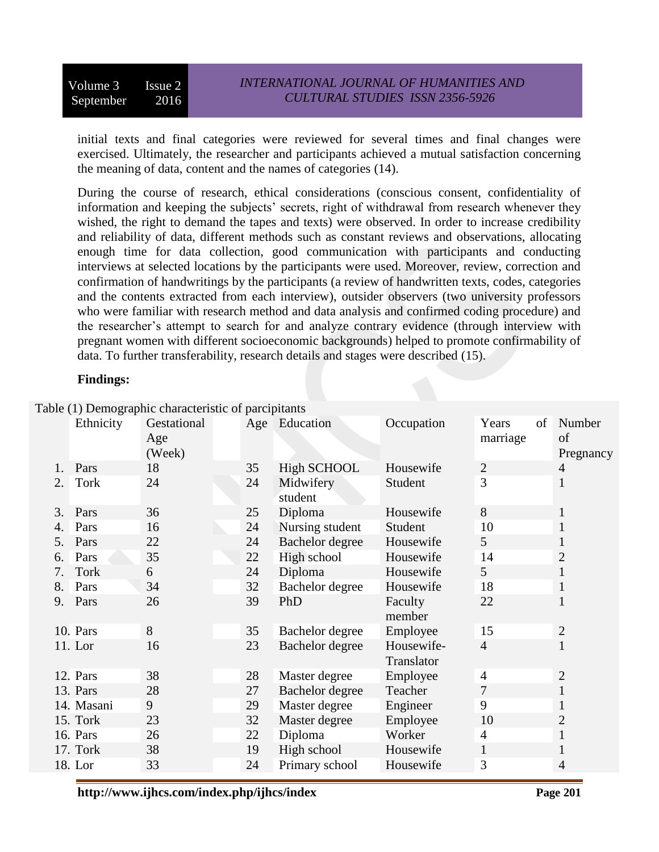initial texts and final categories were reviewed for several times and final changes were exercised. Ultimately, the researcher and participants achieved a mutual satisfaction concerning the meaning of data, content and the names of categories (14).

During the course of research, ethical considerations (conscious consent, confidentiality of information and keeping the subjects' secrets, right of withdrawal from research whenever they wished, the right to demand the tapes and texts) were observed. In order to increase credibility and reliability of data, different methods such as constant reviews and observations, allocating enough time for data collection, good communication with participants and conducting interviews at selected locations by the participants were used. Moreover, review, correction and confirmation of handwritings by the participants (a review of handwritten texts, codes, categories and the contents extracted from each interview), outsider observers (two university professors who were familiar with research method and data analysis and confirmed coding procedure) and the researcher's attempt to search for and analyze contrary evidence (through interview with pregnant women with different socioeconomic backgrounds) helped to promote confirmability of data. To further transferability, research details and stages were described (15).

#### **Findings:**

|    |             | radie (1) Demographic characteristic or parcipitality |    |                      |                   |                         |                           |
|----|-------------|-------------------------------------------------------|----|----------------------|-------------------|-------------------------|---------------------------|
|    | Ethnicity   | Gestational<br>Age<br>(Week)                          |    | Age Education        | Occupation        | Years<br>of<br>marriage | Number<br>of<br>Pregnancy |
| 1. | Pars        | 18                                                    | 35 | <b>High SCHOOL</b>   | Housewife         | $\sqrt{2}$              | 4                         |
| 2. | <b>Tork</b> | 24                                                    | 24 | Midwifery<br>student | Student           | 3                       | 1                         |
| 3. | Pars        | 36                                                    | 25 | Diploma              | Housewife         | 8                       | $\mathbf{I}$              |
| 4. | Pars        | 16                                                    | 24 | Nursing student      | Student           | 10                      | 1                         |
| 5. | Pars        | 22                                                    | 24 | Bachelor degree      | Housewife         | 5                       | $\mathbf 1$               |
| 6. | Pars        | 35                                                    | 22 | High school          | Housewife         | 14                      | $\overline{c}$            |
| 7. | Tork        | 6                                                     | 24 | Diploma              | Housewife         | 5                       | $\mathbf{1}$              |
| 8. | Pars        | 34                                                    | 32 | Bachelor degree      | Housewife         | 18                      | $\mathbf 1$               |
| 9. | Pars        | 26                                                    | 39 | PhD                  | Faculty<br>member | 22                      | 1                         |
|    | 10. Pars    | 8                                                     | 35 | Bachelor degree      | Employee          | 15                      | $\mathbf{2}$              |
|    | 11. Lor     | 16                                                    | 23 | Bachelor degree      | Housewife-        | $\overline{4}$          | 1                         |
|    |             |                                                       |    |                      | Translator        |                         |                           |
|    | 12. Pars    | 38                                                    | 28 | Master degree        | Employee          | $\overline{4}$          | $\mathbf{2}$              |
|    | 13. Pars    | 28                                                    | 27 | Bachelor degree      | Teacher           | 7                       | 1                         |
|    | 14. Masani  | 9                                                     | 29 | Master degree        | Engineer          | 9                       | 1                         |
|    | 15. Tork    | 23                                                    | 32 | Master degree        | Employee          | 10                      | $\overline{2}$            |
|    | 16. Pars    | 26                                                    | 22 | Diploma              | Worker            | $\overline{4}$          | $\mathbf{1}$              |
|    | 17. Tork    | 38                                                    | 19 | High school          | Housewife         | $\mathbf{1}$            | 1                         |
|    | 18. Lor     | 33                                                    | 24 | Primary school       | Housewife         | 3                       | $\overline{4}$            |

Table (1) Demographic characteristic of parcipitants

**http://www.ijhcs.com/index.php/ijhcs/index Page 201**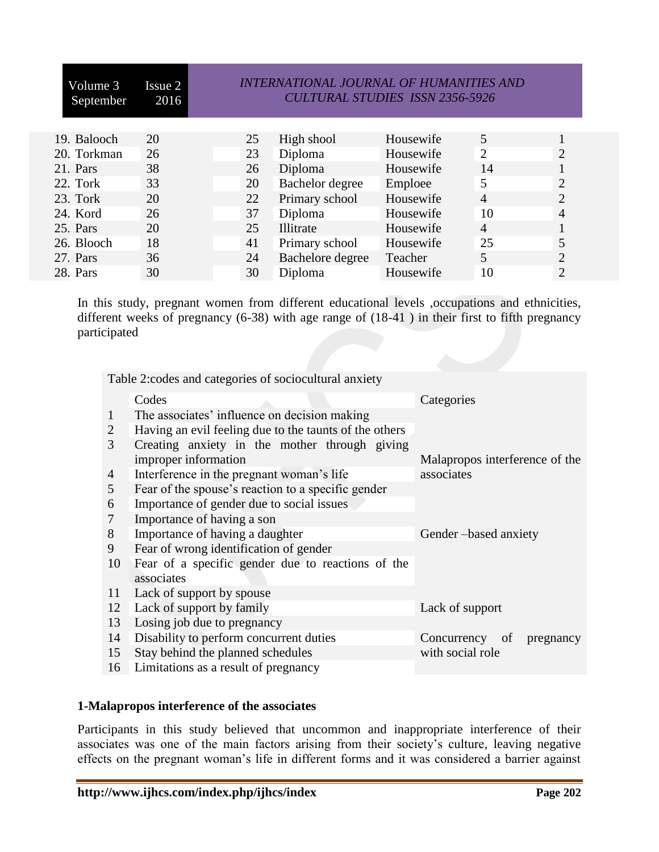| Volume 3<br>September | Issue 2<br>2016 | <b>INTERNATIONAL JOURNAL OF HUMANITIES AND</b><br><b>CULTURAL STUDIES ISSN 2356-5926</b> |                  |           |                |                |
|-----------------------|-----------------|------------------------------------------------------------------------------------------|------------------|-----------|----------------|----------------|
| 19. Balooch           | 20              | 25                                                                                       | High shool       | Housewife | 5              |                |
| 20. Torkman           | 26              | 23                                                                                       | Diploma          | Housewife | $\overline{2}$ | 2              |
| 21. Pars              | 38              | 26                                                                                       | Diploma          | Housewife | 14             |                |
| 22. Tork              | 33              | 20                                                                                       | Bachelor degree  | Emploee   | 5              | $\overline{2}$ |
| 23. Tork              | 20              | 22                                                                                       | Primary school   | Housewife | $\overline{4}$ | 2              |
| 24. Kord              | 26              | 37                                                                                       | Diploma          | Housewife | 10             |                |
| 25. Pars              | 20              | 25                                                                                       | Illitrate        | Housewife | $\overline{4}$ |                |
| 26. Blooch            | 18              | 41                                                                                       | Primary school   | Housewife | 25             |                |
| 27. Pars              | 36              | 24                                                                                       | Bachelore degree | Teacher   | 5              | 2              |
| 28. Pars              | 30              | 30                                                                                       | Diploma          | Housewife | 10             | 2              |

In this study, pregnant women from different educational levels ,occupations and ethnicities, different weeks of pregnancy (6-38) with age range of (18-41 ) in their first to fifth pregnancy participated

Table 2:codes and categories of sociocultural anxiety

|              | Codes                                                  | Categories                     |  |  |  |  |  |
|--------------|--------------------------------------------------------|--------------------------------|--|--|--|--|--|
| $\mathbf{1}$ | The associates' influence on decision making           |                                |  |  |  |  |  |
| 2            | Having an evil feeling due to the taunts of the others |                                |  |  |  |  |  |
| 3            | Creating anxiety in the mother through giving          |                                |  |  |  |  |  |
|              | improper information                                   | Malapropos interference of the |  |  |  |  |  |
| 4            | Interference in the pregnant woman's life              | associates                     |  |  |  |  |  |
| 5            | Fear of the spouse's reaction to a specific gender     |                                |  |  |  |  |  |
| 6            | Importance of gender due to social issues              |                                |  |  |  |  |  |
| 7            | Importance of having a son                             |                                |  |  |  |  |  |
| 8            | Importance of having a daughter                        | Gender-based anxiety           |  |  |  |  |  |
| 9            | Fear of wrong identification of gender                 |                                |  |  |  |  |  |
| 10           | Fear of a specific gender due to reactions of the      |                                |  |  |  |  |  |
|              | associates                                             |                                |  |  |  |  |  |
| 11           | Lack of support by spouse                              |                                |  |  |  |  |  |
| 12           | Lack of support by family                              | Lack of support                |  |  |  |  |  |
| 13           | Losing job due to pregnancy                            |                                |  |  |  |  |  |
| 14           | Disability to perform concurrent duties                | Concurrency<br>of<br>pregnancy |  |  |  |  |  |
| 15           | Stay behind the planned schedules                      | with social role               |  |  |  |  |  |
| 16           | Limitations as a result of pregnancy                   |                                |  |  |  |  |  |

#### **1-Malapropos interference of the associates**

Participants in this study believed that uncommon and inappropriate interference of their associates was one of the main factors arising from their society's culture, leaving negative effects on the pregnant woman's life in different forms and it was considered a barrier against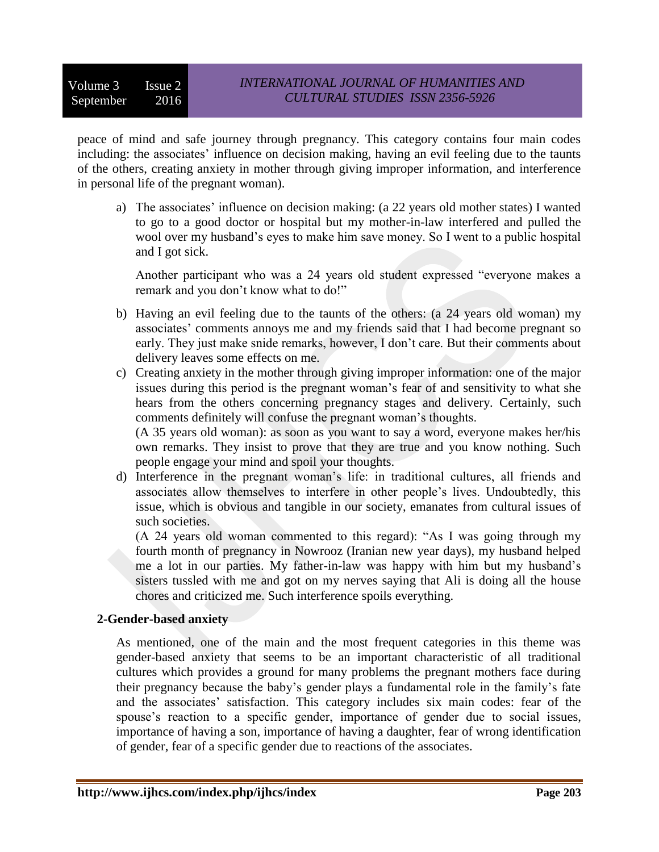peace of mind and safe journey through pregnancy. This category contains four main codes including: the associates' influence on decision making, having an evil feeling due to the taunts of the others, creating anxiety in mother through giving improper information, and interference in personal life of the pregnant woman).

a) The associates' influence on decision making: (a 22 years old mother states) I wanted to go to a good doctor or hospital but my mother-in-law interfered and pulled the wool over my husband's eyes to make him save money. So I went to a public hospital and I got sick.

Another participant who was a 24 years old student expressed "everyone makes a remark and you don't know what to do!"

- b) Having an evil feeling due to the taunts of the others: (a 24 years old woman) my associates' comments annoys me and my friends said that I had become pregnant so early. They just make snide remarks, however, I don't care. But their comments about delivery leaves some effects on me.
- c) Creating anxiety in the mother through giving improper information: one of the major issues during this period is the pregnant woman's fear of and sensitivity to what she hears from the others concerning pregnancy stages and delivery. Certainly, such comments definitely will confuse the pregnant woman's thoughts.

(A 35 years old woman): as soon as you want to say a word, everyone makes her/his own remarks. They insist to prove that they are true and you know nothing. Such people engage your mind and spoil your thoughts.

d) Interference in the pregnant woman's life: in traditional cultures, all friends and associates allow themselves to interfere in other people's lives. Undoubtedly, this issue, which is obvious and tangible in our society, emanates from cultural issues of such societies.

(A 24 years old woman commented to this regard): "As I was going through my fourth month of pregnancy in Nowrooz (Iranian new year days), my husband helped me a lot in our parties. My father-in-law was happy with him but my husband's sisters tussled with me and got on my nerves saying that Ali is doing all the house chores and criticized me. Such interference spoils everything.

## **2-Gender-based anxiety**

As mentioned, one of the main and the most frequent categories in this theme was gender-based anxiety that seems to be an important characteristic of all traditional cultures which provides a ground for many problems the pregnant mothers face during their pregnancy because the baby's gender plays a fundamental role in the family's fate and the associates' satisfaction. This category includes six main codes: fear of the spouse's reaction to a specific gender, importance of gender due to social issues, importance of having a son, importance of having a daughter, fear of wrong identification of gender, fear of a specific gender due to reactions of the associates.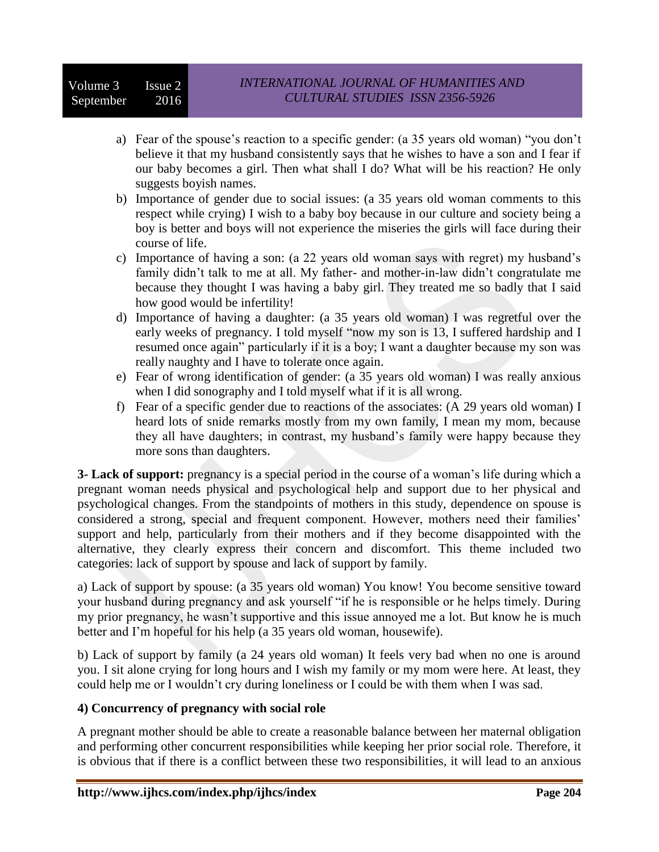- a) Fear of the spouse's reaction to a specific gender: (a 35 years old woman) "you don't believe it that my husband consistently says that he wishes to have a son and I fear if our baby becomes a girl. Then what shall I do? What will be his reaction? He only suggests boyish names.
- b) Importance of gender due to social issues: (a 35 years old woman comments to this respect while crying) I wish to a baby boy because in our culture and society being a boy is better and boys will not experience the miseries the girls will face during their course of life.
- c) Importance of having a son: (a 22 years old woman says with regret) my husband's family didn't talk to me at all. My father- and mother-in-law didn't congratulate me because they thought I was having a baby girl. They treated me so badly that I said how good would be infertility!
- d) Importance of having a daughter: (a 35 years old woman) I was regretful over the early weeks of pregnancy. I told myself "now my son is 13, I suffered hardship and I resumed once again" particularly if it is a boy; I want a daughter because my son was really naughty and I have to tolerate once again.
- e) Fear of wrong identification of gender: (a 35 years old woman) I was really anxious when I did sonography and I told myself what if it is all wrong.
- f) Fear of a specific gender due to reactions of the associates: (A 29 years old woman) I heard lots of snide remarks mostly from my own family, I mean my mom, because they all have daughters; in contrast, my husband's family were happy because they more sons than daughters.

**3- Lack of support:** pregnancy is a special period in the course of a woman's life during which a pregnant woman needs physical and psychological help and support due to her physical and psychological changes. From the standpoints of mothers in this study, dependence on spouse is considered a strong, special and frequent component. However, mothers need their families' support and help, particularly from their mothers and if they become disappointed with the alternative, they clearly express their concern and discomfort. This theme included two categories: lack of support by spouse and lack of support by family.

a) Lack of support by spouse: (a 35 years old woman) You know! You become sensitive toward your husband during pregnancy and ask yourself "if he is responsible or he helps timely. During my prior pregnancy, he wasn't supportive and this issue annoyed me a lot. But know he is much better and I'm hopeful for his help (a 35 years old woman, housewife).

b) Lack of support by family (a 24 years old woman) It feels very bad when no one is around you. I sit alone crying for long hours and I wish my family or my mom were here. At least, they could help me or I wouldn't cry during loneliness or I could be with them when I was sad.

## **4) Concurrency of pregnancy with social role**

A pregnant mother should be able to create a reasonable balance between her maternal obligation and performing other concurrent responsibilities while keeping her prior social role. Therefore, it is obvious that if there is a conflict between these two responsibilities, it will lead to an anxious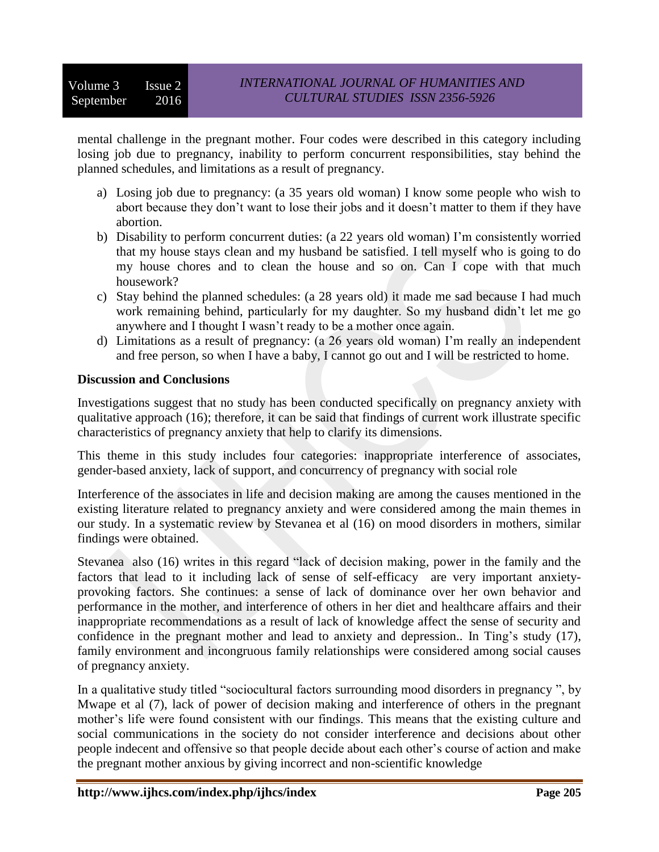mental challenge in the pregnant mother. Four codes were described in this category including losing job due to pregnancy, inability to perform concurrent responsibilities, stay behind the planned schedules, and limitations as a result of pregnancy.

- a) Losing job due to pregnancy: (a 35 years old woman) I know some people who wish to abort because they don't want to lose their jobs and it doesn't matter to them if they have abortion.
- b) Disability to perform concurrent duties: (a 22 years old woman) I'm consistently worried that my house stays clean and my husband be satisfied. I tell myself who is going to do my house chores and to clean the house and so on. Can I cope with that much housework?
- c) Stay behind the planned schedules: (a 28 years old) it made me sad because I had much work remaining behind, particularly for my daughter. So my husband didn't let me go anywhere and I thought I wasn't ready to be a mother once again.
- d) Limitations as a result of pregnancy: (a 26 years old woman) I'm really an independent and free person, so when I have a baby, I cannot go out and I will be restricted to home.

## **Discussion and Conclusions**

Investigations suggest that no study has been conducted specifically on pregnancy anxiety with qualitative approach (16); therefore, it can be said that findings of current work illustrate specific characteristics of pregnancy anxiety that help to clarify its dimensions.

This theme in this study includes four categories: inappropriate interference of associates, gender-based anxiety, lack of support, and concurrency of pregnancy with social role

Interference of the associates in life and decision making are among the causes mentioned in the existing literature related to pregnancy anxiety and were considered among the main themes in our study. In a systematic review by Stevanea et al (16) on mood disorders in mothers, similar findings were obtained.

Stevanea also (16) writes in this regard "lack of decision making, power in the family and the factors that lead to it including lack of sense of self-efficacy are very important anxietyprovoking factors. She continues: a sense of lack of dominance over her own behavior and performance in the mother, and interference of others in her diet and healthcare affairs and their inappropriate recommendations as a result of lack of knowledge affect the sense of security and confidence in the pregnant mother and lead to anxiety and depression.. In Ting's study (17), family environment and incongruous family relationships were considered among social causes of pregnancy anxiety.

In a qualitative study titled "sociocultural factors surrounding mood disorders in pregnancy ", by Mwape et al (7), lack of power of decision making and interference of others in the pregnant mother's life were found consistent with our findings. This means that the existing culture and social communications in the society do not consider interference and decisions about other people indecent and offensive so that people decide about each other's course of action and make the pregnant mother anxious by giving incorrect and non-scientific knowledge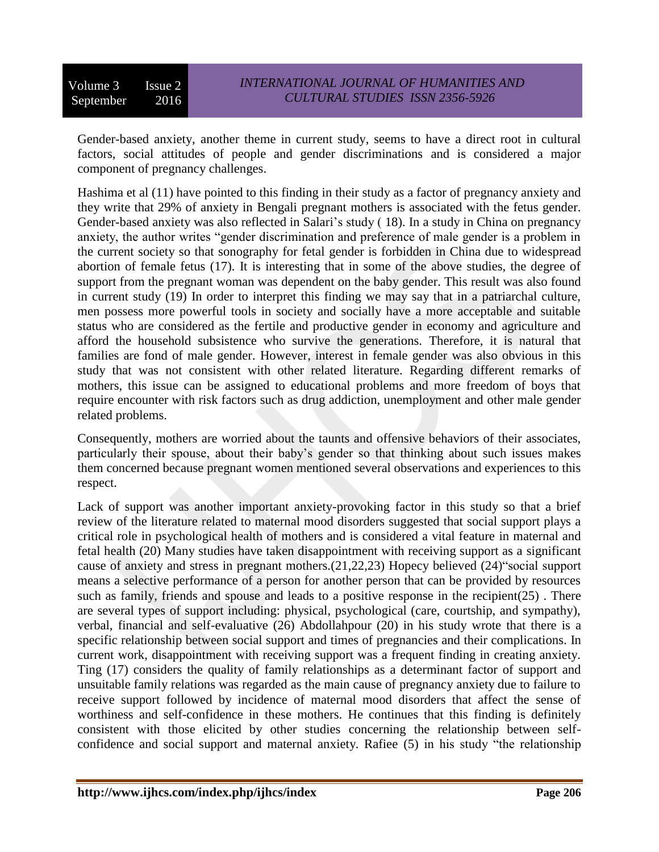Gender-based anxiety, another theme in current study, seems to have a direct root in cultural factors, social attitudes of people and gender discriminations and is considered a major component of pregnancy challenges.

Hashima et al (11) have pointed to this finding in their study as a factor of pregnancy anxiety and they write that 29% of anxiety in Bengali pregnant mothers is associated with the fetus gender. Gender-based anxiety was also reflected in Salari's study ( 18). In a study in China on pregnancy anxiety, the author writes "gender discrimination and preference of male gender is a problem in the current society so that sonography for fetal gender is forbidden in China due to widespread abortion of female fetus (17). It is interesting that in some of the above studies, the degree of support from the pregnant woman was dependent on the baby gender. This result was also found in current study (19) In order to interpret this finding we may say that in a patriarchal culture, men possess more powerful tools in society and socially have a more acceptable and suitable status who are considered as the fertile and productive gender in economy and agriculture and afford the household subsistence who survive the generations. Therefore, it is natural that families are fond of male gender. However, interest in female gender was also obvious in this study that was not consistent with other related literature. Regarding different remarks of mothers, this issue can be assigned to educational problems and more freedom of boys that require encounter with risk factors such as drug addiction, unemployment and other male gender related problems.

Consequently, mothers are worried about the taunts and offensive behaviors of their associates, particularly their spouse, about their baby's gender so that thinking about such issues makes them concerned because pregnant women mentioned several observations and experiences to this respect.

Lack of support was another important anxiety-provoking factor in this study so that a brief review of the literature related to maternal mood disorders suggested that social support plays a critical role in psychological health of mothers and is considered a vital feature in maternal and fetal health (20) Many studies have taken disappointment with receiving support as a significant cause of anxiety and stress in pregnant mothers.(21,22,23) Hopecy believed (24)"social support means a selective performance of a person for another person that can be provided by resources such as family, friends and spouse and leads to a positive response in the recipient(25) . There are several types of support including: physical, psychological (care, courtship, and sympathy), verbal, financial and self-evaluative (26) Abdollahpour (20) in his study wrote that there is a specific relationship between social support and times of pregnancies and their complications. In current work, disappointment with receiving support was a frequent finding in creating anxiety. Ting (17) considers the quality of family relationships as a determinant factor of support and unsuitable family relations was regarded as the main cause of pregnancy anxiety due to failure to receive support followed by incidence of maternal mood disorders that affect the sense of worthiness and self-confidence in these mothers. He continues that this finding is definitely consistent with those elicited by other studies concerning the relationship between selfconfidence and social support and maternal anxiety. Rafiee (5) in his study "the relationship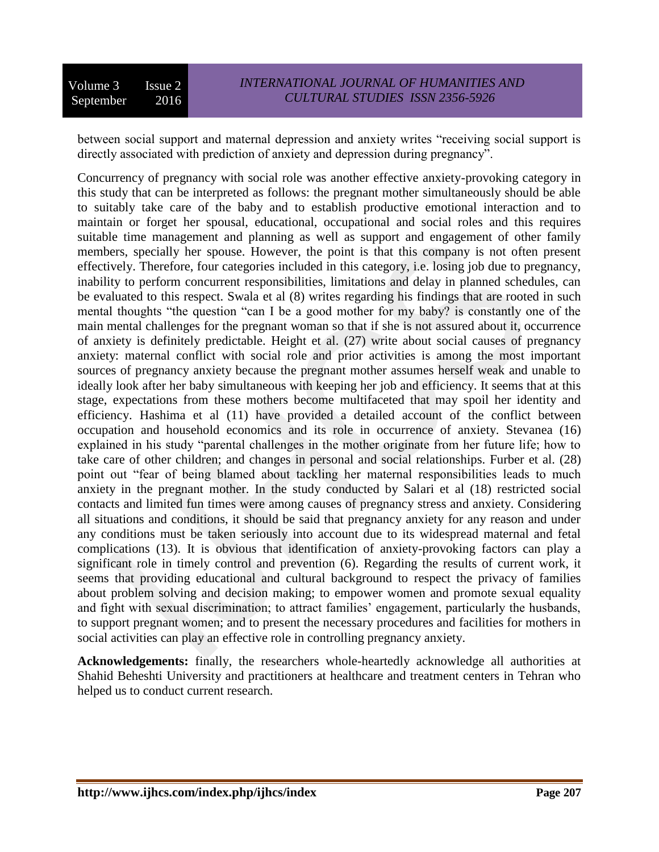between social support and maternal depression and anxiety writes "receiving social support is directly associated with prediction of anxiety and depression during pregnancy".

Concurrency of pregnancy with social role was another effective anxiety-provoking category in this study that can be interpreted as follows: the pregnant mother simultaneously should be able to suitably take care of the baby and to establish productive emotional interaction and to maintain or forget her spousal, educational, occupational and social roles and this requires suitable time management and planning as well as support and engagement of other family members, specially her spouse. However, the point is that this company is not often present effectively. Therefore, four categories included in this category, i.e. losing job due to pregnancy, inability to perform concurrent responsibilities, limitations and delay in planned schedules, can be evaluated to this respect. Swala et al (8) writes regarding his findings that are rooted in such mental thoughts "the question "can I be a good mother for my baby? is constantly one of the main mental challenges for the pregnant woman so that if she is not assured about it, occurrence of anxiety is definitely predictable. Height et al. (27) write about social causes of pregnancy anxiety: maternal conflict with social role and prior activities is among the most important sources of pregnancy anxiety because the pregnant mother assumes herself weak and unable to ideally look after her baby simultaneous with keeping her job and efficiency. It seems that at this stage, expectations from these mothers become multifaceted that may spoil her identity and efficiency. Hashima et al (11) have provided a detailed account of the conflict between occupation and household economics and its role in occurrence of anxiety. Stevanea (16) explained in his study "parental challenges in the mother originate from her future life; how to take care of other children; and changes in personal and social relationships. Furber et al. (28) point out "fear of being blamed about tackling her maternal responsibilities leads to much anxiety in the pregnant mother. In the study conducted by Salari et al (18) restricted social contacts and limited fun times were among causes of pregnancy stress and anxiety. Considering all situations and conditions, it should be said that pregnancy anxiety for any reason and under any conditions must be taken seriously into account due to its widespread maternal and fetal complications (13). It is obvious that identification of anxiety-provoking factors can play a significant role in timely control and prevention (6). Regarding the results of current work, it seems that providing educational and cultural background to respect the privacy of families about problem solving and decision making; to empower women and promote sexual equality and fight with sexual discrimination; to attract families' engagement, particularly the husbands, to support pregnant women; and to present the necessary procedures and facilities for mothers in social activities can play an effective role in controlling pregnancy anxiety.

**Acknowledgements:** finally, the researchers whole-heartedly acknowledge all authorities at Shahid Beheshti University and practitioners at healthcare and treatment centers in Tehran who helped us to conduct current research.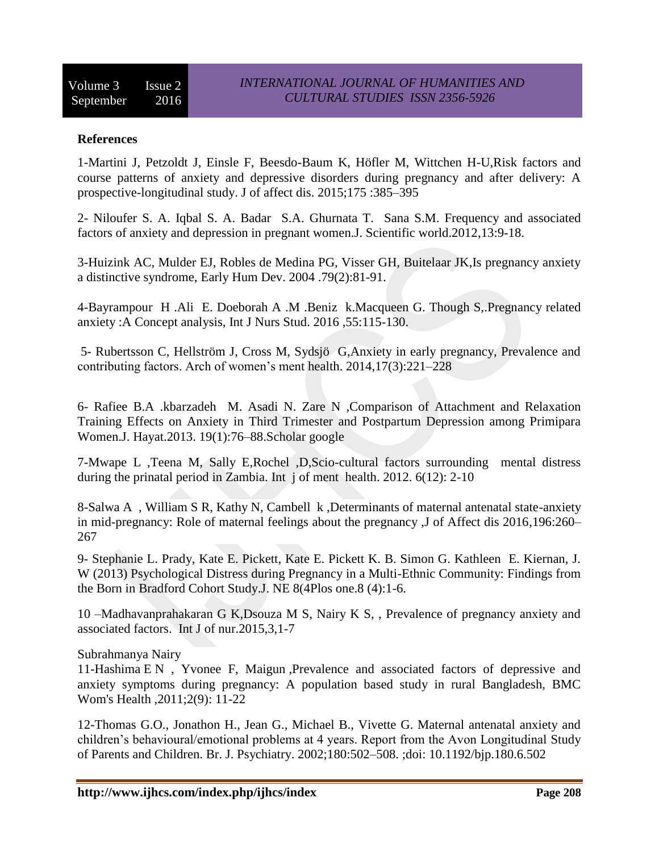#### **References**

1-Martini J, Petzoldt J, Einsle F, Beesdo-Baum K, Höfler M, Wittchen H-U,Risk factors and course patterns of anxiety and depressive disorders during pregnancy and after delivery: A prospective-longitudinal study. J of affect dis. 2015;175 :385–395

2- [Niloufer S. A.](http://www.hindawi.com/21597581/) [Iqbal S. A.](https://www.ncbi.nlm.nih.gov/pubmed/?term=Azam%20IS%5Bauth%5D) Badar S.A. [Ghurnata T.](https://www.ncbi.nlm.nih.gov/pubmed/?term=Tabbusum%20G%5Bauth%5D) Sana S.M. Frequency and associated factors of anxiety and depression in pregnant women.J. Scientific world.2012,13:9-18.

3-Huizink AC, Mulder EJ, Robles de Medina PG, Visser GH, Buitelaar JK,Is pregnancy anxiety a distinctive syndrome, [Early Hum Dev.](http://www.ncbi.nlm.nih.gov/pubmed/15324989) 2004 .79(2):81-91.

4-Bayrampour H .Ali E. Doeborah A .M .Beniz k.Macqueen G. Though S,.Pregnancy related anxiety :A Concept analysis, Int J Nurs Stud. 2016 ,55:115-130.

5- Rubertsson C, Hellström J, Cross M, Sydsjö G,Anxiety in early pregnancy, Prevalence and contributing factors. Arch of women's ment health. 2014,17(3):221–228

6- Rafiee B.A .kbarzadeh M. Asadi N. Zare N ,Comparison of Attachment and Relaxation Training Effects on Anxiety in Third Trimester and Postpartum Depression among Primipara Women.J. Hayat.2013. 19(1):76–88.Scholar google

7-Mwape L ,Teena M, Sally E,Rochel ,D,Scio-cultural factors surrounding mental distress during the prinatal period in Zambia. Int j of ment health. 2012. 6(12): 2-10

8-Salwa A , William S R, Kathy N, Cambell k ,Determinants of maternal antenatal state-anxiety in mid-pregnancy: Role of maternal feelings about the pregnancy ,J of Affect dis 201[6,196:](http://www.sciencedirect.com/science/journal/01650327/196/supp/C)260– 267

9- Stephanie L. Prady, Kate E. Pickett, Kate E. Pickett K. B. Simon G. Kathleen E. Kiernan, J. W (2013) Psychological Distress during Pregnancy in a Multi-Ethnic Community: Findings from the Born in Bradford Cohort Study.J. NE 8(4Plos one.8 (4):1-6.

10 –Madhavanprahakaran G K,Dsouza M S, Nairy K S, , Prevalence of pregnancy anxiety and associated factors. Int J of nur.2015,3,1-7

Subrahmanya Nairy

11-Hashima E N , Yvonee F, Maigun ,Prevalence and associated factors of depressive and anxiety symptoms during pregnancy: A population based study in rural Bangladesh, BMC Wom's Health ,2011;2(9): 11-22

12-Thomas G.O., Jonathon H., Jean G., Michael B., Vivette G. Maternal antenatal anxiety and children's behavioural/emotional problems at 4 years. Report from the Avon Longitudinal Study of Parents and Children. Br. J. Psychiatry. 2002;180:502–508. ;doi: 10.1192/bjp.180.6.502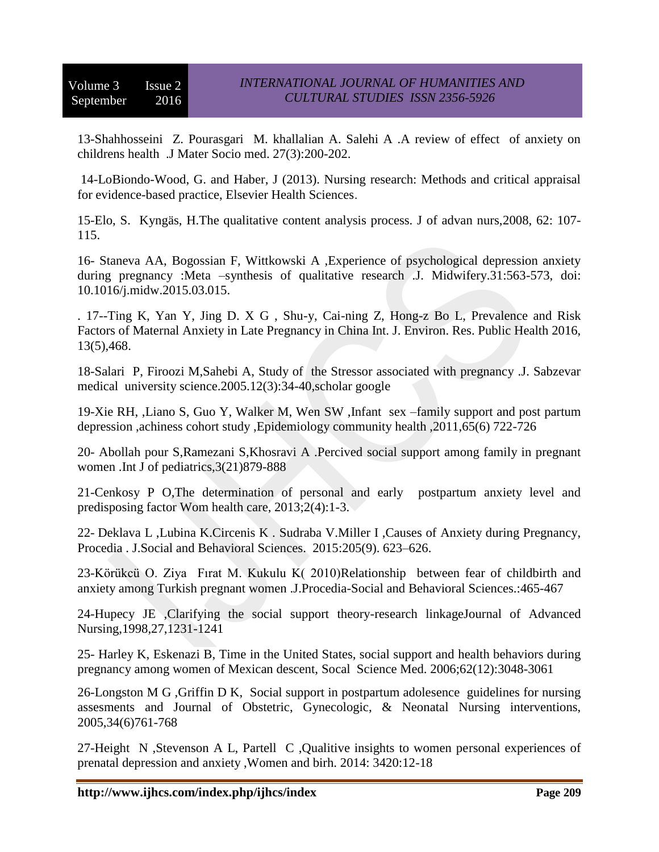13-Shahhosseini Z. Pourasgari M. khallalian A. Salehi A .A review of effect of anxiety on childrens health .J Mater Socio med. 27(3):200-202.

14-LoBiondo-Wood, G. and Haber, J (2013). Nursing research: Methods and critical appraisal for evidence-based practice, Elsevier Health Sciences.

15-Elo, S. Kyngäs, H.The qualitative content analysis process. J of advan nurs,2008, 62: 107- 115.

16- Staneva AA, Bogossian F, Wittkowski A ,Experience of psychological depression anxiety during pregnancy :Meta –synthesis of qualitative research .J. Midwifery.31:563-573, doi: 10.1016/j.midw.2015.03.015.

. 17--Ting K, Yan Y, Jing D. X G , Shu-y, Cai-ning Z, Hong-z Bo L, Prevalence and Risk Factors of Maternal Anxiety in Late Pregnancy in China Int. J. Environ. Res. Public Health 2016, 13(5),468.

18-Salari P, Firoozi M,Sahebi A, Study of the Stressor associated with pregnancy .J. Sabzevar medical university science.2005.12(3):34-40,scholar google

19-Xie RH, ,Liano S, Guo Y, Walker M, Wen SW ,Infant sex –family support and post partum depression ,achiness cohort study ,Epidemiology community health ,2011,65(6) 722-726

20- Abollah pour S,Ramezani S,Khosravi A .Percived social support among family in pregnant women .Int J of pediatrics,3(21)879-888

21-Cenkosy P O,The determination of personal and early postpartum anxiety level and predisposing factor Wom health care, 2013;2(4):1-3.

22- Deklava L ,Lubina K.Circenis K . Sudraba V.Miller I ,Causes of Anxiety during Pregnancy, [Procedia . J.Social and Behavioral Sciences.](http://www.sciencedirect.com/science/journal/18770428) [2015:](http://www.sciencedirect.com/science/journal/18770428/205/supp/C)205(9). 623–626.

23-Körükcü O. Ziya Fırat M. Kukulu K( 2010[\)Relationship between fear of childbirth and](http://www.sciencedirect.com/science/article/pii/S1877042810014990)  [anxiety among Turkish pregnant women](http://www.sciencedirect.com/science/article/pii/S1877042810014990) .J.Procedia-Social and Behavioral Sciences.:465-467

24-Hupecy JE ,Clarifying the social support theory-research linkageJournal of Advanced Nursing,1998,27,1231-1241

25- [Harley K,](http://www.ncbi.nlm.nih.gov/pubmed/?term=Harley%20K%5BAuthor%5D&cauthor=true&cauthor_uid=16403596) [Eskenazi B,](http://www.ncbi.nlm.nih.gov/pubmed/?term=Eskenazi%20B%5BAuthor%5D&cauthor=true&cauthor_uid=16403596) Time in the United States, social support and health behaviors during pregnancy among women of Mexican descent, [Socal Science Med.](http://www.ncbi.nlm.nih.gov/pubmed/16403596) 2006;62(12):3048-3061

26-Longston M G ,Griffin D K, Social support in postpartum adolesence guidelines for nursing assesments and Journal of Obstetric, Gynecologic, & Neonatal Nursing interventions, 2005,34(6)761-768

27-Height N ,Stevenson A L, Partell C ,Qualitive insights to women personal experiences of prenatal depression and anxiety ,Women and birh. 2014: 3420:12-18